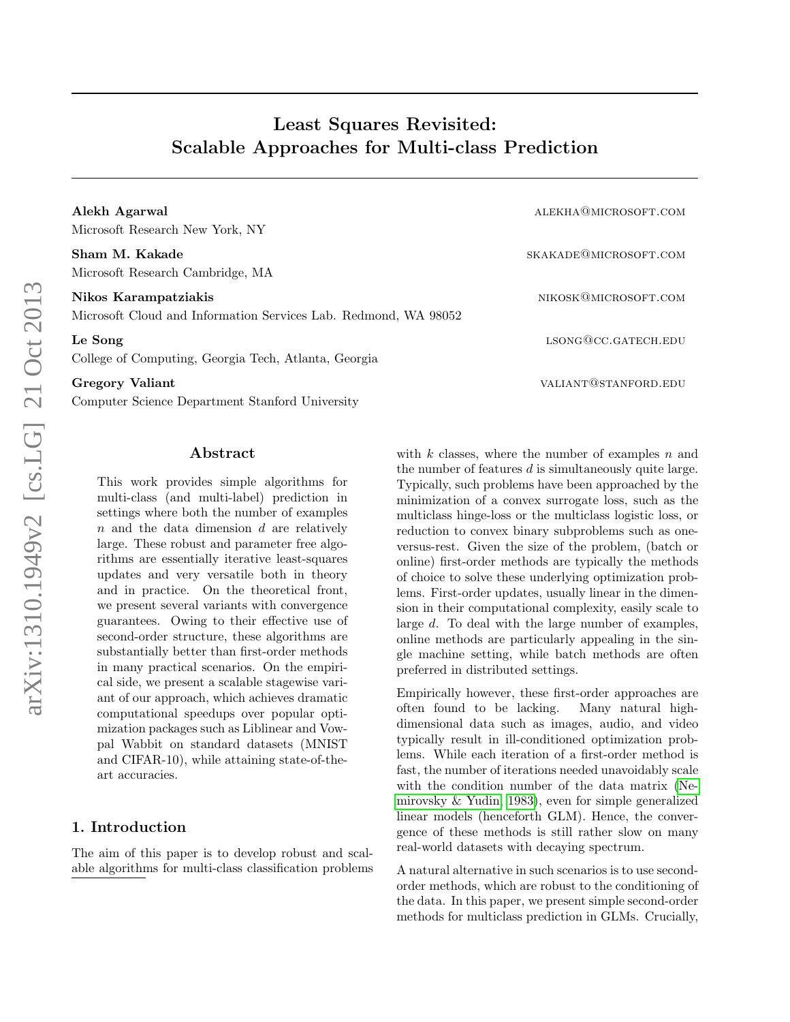# Least Squares Revisited: Scalable Approaches for Multi-class Prediction

Alekh Agarwal alekhagarwal alekhagarwal alekhagarwal alekhagarwal alekhagarwal alekhagarwal alekhagarwal alekh Microsoft Research New York, NY

Sham M. Kakade skakade skakade skakade skakade skakade skakade skakade skakade skakade skakade skakade skakade Microsoft Research Cambridge, MA

Nikos Karampatziakis nikoskontrologia kontrologia eta aldera eta aldera eta aldera eta aldera eta aldera eta a

Microsoft Cloud and Information Services Lab. Redmond, WA 98052

Le Song lsong@cc.gateCH.edu

College of Computing, Georgia Tech, Atlanta, Georgia

Gregory Valiant values of the contract of the contract of the values of the values of the values of the values of the values of the values of the values of the values of the values of the values of the values of the values

Computer Science Department Stanford University

# Abstract

This work provides simple algorithms for multi-class (and multi-label) prediction in settings where both the number of examples  $n$  and the data dimension  $d$  are relatively large. These robust and parameter free algorithms are essentially iterative least-squares updates and very versatile both in theory and in practice. On the theoretical front, we present several variants with convergence guarantees. Owing to their effective use of second-order structure, these algorithms are substantially better than first-order methods in many practical scenarios. On the empirical side, we present a scalable stagewise variant of our approach, which achieves dramatic computational speedups over popular optimization packages such as Liblinear and Vowpal Wabbit on standard datasets (MNIST and CIFAR-10), while attaining state-of-theart accuracies.

# 1. Introduction

The aim of this paper is to develop robust and scalable algorithms for multi-class classification problems with  $k$  classes, where the number of examples  $n$  and the number of features  $d$  is simultaneously quite large. Typically, such problems have been approached by the minimization of a convex surrogate loss, such as the multiclass hinge-loss or the multiclass logistic loss, or reduction to convex binary subproblems such as oneversus-rest. Given the size of the problem, (batch or online) first-order methods are typically the methods of choice to solve these underlying optimization problems. First-order updates, usually linear in the dimension in their computational complexity, easily scale to large d. To deal with the large number of examples, online methods are particularly appealing in the single machine setting, while batch methods are often preferred in distributed settings.

Empirically however, these first-order approaches are often found to be lacking. Many natural highdimensional data such as images, audio, and video typically result in ill-conditioned optimization problems. While each iteration of a first-order method is fast, the number of iterations needed unavoidably scale with the condition number of the data matrix [\(Ne](#page-9-0)[mirovsky & Yudin, 1983\)](#page-9-0), even for simple generalized linear models (henceforth GLM). Hence, the convergence of these methods is still rather slow on many real-world datasets with decaying spectrum.

A natural alternative in such scenarios is to use secondorder methods, which are robust to the conditioning of the data. In this paper, we present simple second-order methods for multiclass prediction in GLMs. Crucially,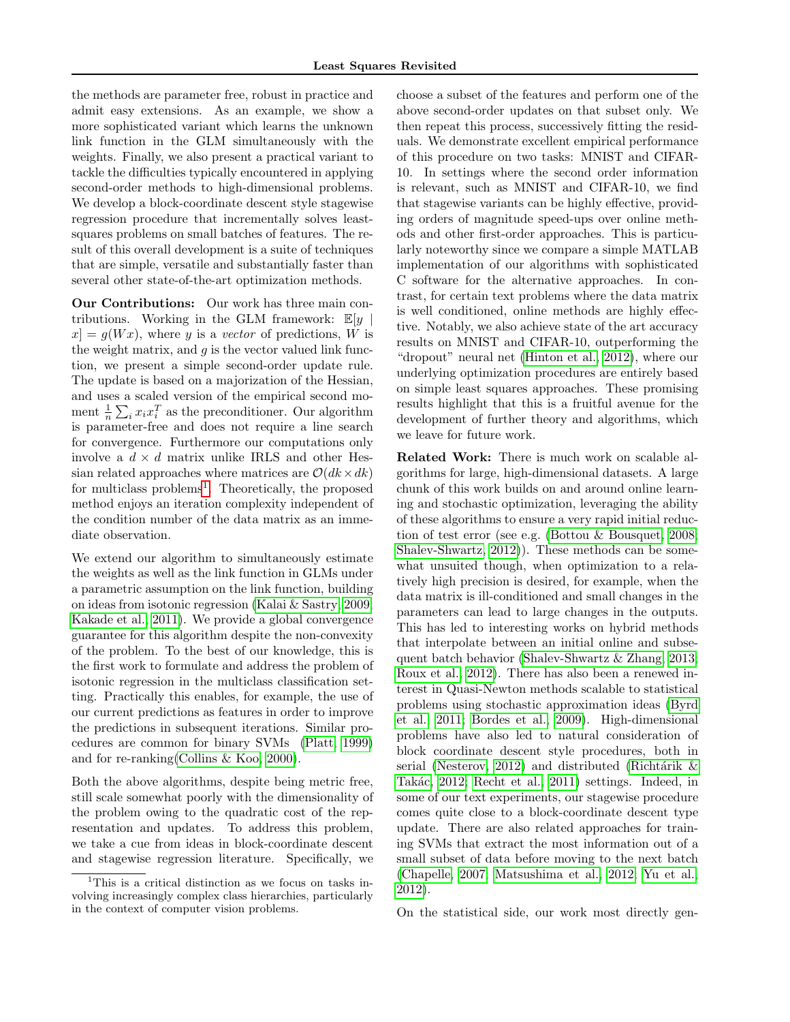the methods are parameter free, robust in practice and admit easy extensions. As an example, we show a more sophisticated variant which learns the unknown link function in the GLM simultaneously with the weights. Finally, we also present a practical variant to tackle the difficulties typically encountered in applying second-order methods to high-dimensional problems. We develop a block-coordinate descent style stagewise regression procedure that incrementally solves leastsquares problems on small batches of features. The result of this overall development is a suite of techniques that are simple, versatile and substantially faster than several other state-of-the-art optimization methods.

Our Contributions: Our work has three main contributions. Working in the GLM framework:  $\mathbb{E}[y]$  $x = g(Wx)$ , where y is a vector of predictions, W is the weight matrix, and  $q$  is the vector valued link function, we present a simple second-order update rule. The update is based on a majorization of the Hessian, and uses a scaled version of the empirical second moment  $\frac{1}{n} \sum_i x_i x_i^T$  as the preconditioner. Our algorithm is parameter-free and does not require a line search for convergence. Furthermore our computations only involve a  $d \times d$  matrix unlike IRLS and other Hessian related approaches where matrices are  $\mathcal{O}(dk \times dk)$ for multiclass problems<sup>[1](#page-1-0)</sup>. Theoretically, the proposed method enjoys an iteration complexity independent of the condition number of the data matrix as an immediate observation.

We extend our algorithm to simultaneously estimate the weights as well as the link function in GLMs under a parametric assumption on the link function, building on ideas from isotonic regression [\(Kalai & Sastry, 2009;](#page-9-1) [Kakade et al., 2011\)](#page-9-2). We provide a global convergence guarantee for this algorithm despite the non-convexity of the problem. To the best of our knowledge, this is the first work to formulate and address the problem of isotonic regression in the multiclass classification setting. Practically this enables, for example, the use of our current predictions as features in order to improve the predictions in subsequent iterations. Similar procedures are common for binary SVMs [\(Platt, 1999\)](#page-9-3) and for re-ranking[\(Collins & Koo, 2000\)](#page-9-4).

Both the above algorithms, despite being metric free, still scale somewhat poorly with the dimensionality of the problem owing to the quadratic cost of the representation and updates. To address this problem, we take a cue from ideas in block-coordinate descent and stagewise regression literature. Specifically, we choose a subset of the features and perform one of the above second-order updates on that subset only. We then repeat this process, successively fitting the residuals. We demonstrate excellent empirical performance of this procedure on two tasks: MNIST and CIFAR-10. In settings where the second order information is relevant, such as MNIST and CIFAR-10, we find that stagewise variants can be highly effective, providing orders of magnitude speed-ups over online methods and other first-order approaches. This is particularly noteworthy since we compare a simple MATLAB implementation of our algorithms with sophisticated C software for the alternative approaches. In contrast, for certain text problems where the data matrix is well conditioned, online methods are highly effective. Notably, we also achieve state of the art accuracy results on MNIST and CIFAR-10, outperforming the "dropout" neural net [\(Hinton et al., 2012\)](#page-9-5), where our underlying optimization procedures are entirely based on simple least squares approaches. These promising results highlight that this is a fruitful avenue for the development of further theory and algorithms, which we leave for future work.

Related Work: There is much work on scalable algorithms for large, high-dimensional datasets. A large chunk of this work builds on and around online learning and stochastic optimization, leveraging the ability of these algorithms to ensure a very rapid initial reduction of test error (see e.g. [\(Bottou & Bousquet, 2008;](#page-9-6) [Shalev-Shwartz, 2012\)](#page-10-0)). These methods can be somewhat unsuited though, when optimization to a relatively high precision is desired, for example, when the data matrix is ill-conditioned and small changes in the parameters can lead to large changes in the outputs. This has led to interesting works on hybrid methods that interpolate between an initial online and subsequent batch behavior [\(Shalev-Shwartz & Zhang, 2013;](#page-10-1) [Roux et al., 2012\)](#page-10-2). There has also been a renewed interest in Quasi-Newton methods scalable to statistical problems using stochastic approximation ideas [\(Byrd](#page-9-7) [et al., 2011;](#page-9-7) [Bordes et al., 2009\)](#page-9-8). High-dimensional problems have also led to natural consideration of block coordinate descent style procedures, both in serial [\(Nesterov, 2012\)](#page-9-9) and distributed (Richtárik  $\&$ Takác, 2012; [Recht et al., 2011\)](#page-9-11) settings. Indeed, in some of our text experiments, our stagewise procedure comes quite close to a block-coordinate descent type update. There are also related approaches for training SVMs that extract the most information out of a small subset of data before moving to the next batch [\(Chapelle, 2007;](#page-9-12) [Matsushima et al., 2012;](#page-9-13) [Yu et al.,](#page-10-3) [2012\)](#page-10-3).

On the statistical side, our work most directly gen-

<span id="page-1-0"></span><sup>&</sup>lt;sup>1</sup>This is a critical distinction as we focus on tasks involving increasingly complex class hierarchies, particularly in the context of computer vision problems.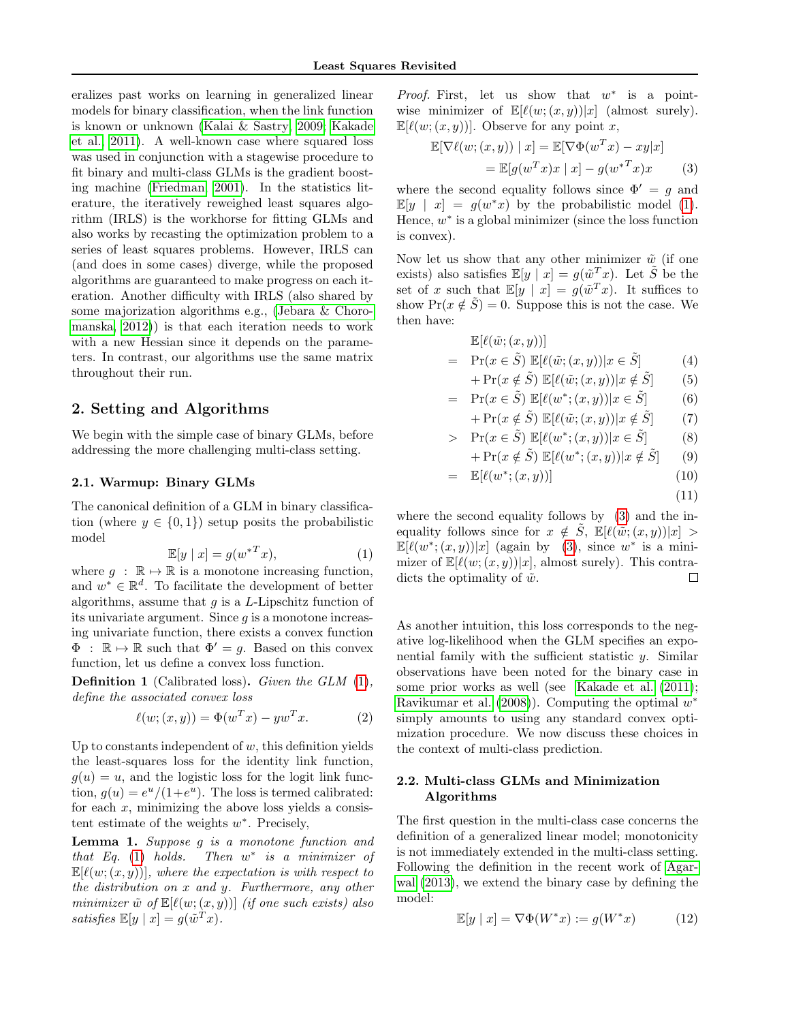eralizes past works on learning in generalized linear models for binary classification, when the link function is known or unknown [\(Kalai & Sastry, 2009;](#page-9-1) [Kakade](#page-9-2) [et al., 2011\)](#page-9-2). A well-known case where squared loss was used in conjunction with a stagewise procedure to fit binary and multi-class GLMs is the gradient boosting machine [\(Friedman, 2001\)](#page-9-14). In the statistics literature, the iteratively reweighed least squares algorithm (IRLS) is the workhorse for fitting GLMs and also works by recasting the optimization problem to a series of least squares problems. However, IRLS can (and does in some cases) diverge, while the proposed algorithms are guaranteed to make progress on each iteration. Another difficulty with IRLS (also shared by some majorization algorithms e.g., [\(Jebara & Choro](#page-9-15)[manska, 2012\)](#page-9-15)) is that each iteration needs to work with a new Hessian since it depends on the parameters. In contrast, our algorithms use the same matrix throughout their run.

# 2. Setting and Algorithms

We begin with the simple case of binary GLMs, before addressing the more challenging multi-class setting.

#### 2.1. Warmup: Binary GLMs

The canonical definition of a GLM in binary classification (where  $y \in \{0, 1\}$ ) setup posits the probabilistic model

<span id="page-2-0"></span>
$$
\mathbb{E}[y \mid x] = g(w^{*T}x),\tag{1}
$$

where  $q : \mathbb{R} \mapsto \mathbb{R}$  is a monotone increasing function, and  $w^* \in \mathbb{R}^d$ . To facilitate the development of better algorithms, assume that  $g$  is a  $L$ -Lipschitz function of its univariate argument. Since  $g$  is a monotone increasing univariate function, there exists a convex function  $\Phi$ :  $\mathbb{R} \mapsto \mathbb{R}$  such that  $\Phi' = q$ . Based on this convex function, let us define a convex loss function.

Definition 1 (Calibrated loss). Given the GLM [\(1\)](#page-2-0), define the associated convex loss

$$
\ell(w; (x, y)) = \Phi(w^T x) - y w^T x.
$$
 (2)

Up to constants independent of  $w$ , this definition yields the least-squares loss for the identity link function,  $g(u) = u$ , and the logistic loss for the logit link function,  $g(u) = e^u/(1+e^u)$ . The loss is termed calibrated: for each  $x$ , minimizing the above loss yields a consistent estimate of the weights  $w^*$ . Precisely,

Lemma 1. Suppose g is a monotone function and that Eq.  $(1)$  holds. ∗ is a minimizer of  $\mathbb{E}[\ell(w; (x, y))],$  where the expectation is with respect to the distribution on x and y. Furthermore, any other minimizer  $\tilde{w}$  of  $\mathbb{E}[\ell(w; (x, y))]$  (if one such exists) also satisfies  $\mathbb{E}[y \mid x] = g(\tilde{w}^T x)$ .

*Proof.* First, let us show that  $w^*$  is a pointwise minimizer of  $\mathbb{E}[\ell(w; (x, y))|x]$  (almost surely).  $\mathbb{E}[\ell(w; (x, y))].$  Observe for any point x,

<span id="page-2-1"></span>
$$
\mathbb{E}[\nabla \ell(w; (x, y)) \mid x] = \mathbb{E}[\nabla \Phi(w^T x) - xy | x] \n= \mathbb{E}[g(w^T x) x \mid x] - g(w^{*T} x) x
$$
\n(3)

where the second equality follows since  $\Phi' = g$  and  $\mathbb{E}[y \mid x] = g(w^*x)$  by the probabilistic model [\(1\)](#page-2-0). Hence,  $w^*$  is a global minimizer (since the loss function is convex).

Now let us show that any other minimizer  $\tilde{w}$  (if one exists) also satisfies  $\mathbb{E}[y | x] = g(\tilde{w}^T x)$ . Let  $\tilde{S}$  be the set of x such that  $\mathbb{E}[y \mid x] = g(\tilde{w}^T x)$ . It suffices to show  $Pr(x \notin \tilde{S}) = 0$ . Suppose this is not the case. We then have:

$$
\mathbb{E}[\ell(\tilde{w}; (x, y))]
$$
\n
$$
= \Pr(x \in \tilde{S}) \mathbb{E}[\ell(\tilde{w}; (x, y)) | x \in \tilde{S}]
$$
\n
$$
+ \Pr(x \notin \tilde{S}) \mathbb{E}[\ell(\tilde{w}; (x, y)) | x \notin \tilde{S}]
$$
\n(4)

$$
= \Pr(x \in \tilde{S}) \mathbb{E}[\ell(w^*; (x, y))]x \in \tilde{S}] \tag{6}
$$

$$
+ \Pr(x \notin \tilde{S}) \mathbb{E}[\ell(\tilde{w}; (x, y))]x \notin \tilde{S}] \tag{7}
$$

> 
$$
\Pr(x \in \tilde{S}) \mathbb{E}[\ell(w^*; (x, y))]x \in \tilde{S}
$$
 (8)

$$
+ \Pr(x \notin \tilde{S}) \mathbb{E}[\ell(w^*; (x, y)) | x \notin \tilde{S}] \tag{9}
$$

$$
= \mathbb{E}[\ell(w^*; (x, y))]
$$
 (10)

$$
(11)
$$

where the second equality follows by [\(3\)](#page-2-1) and the inequality follows since for  $x \notin \tilde{S}$ ,  $\mathbb{E}[\ell(\tilde{w}; (x, y))|x] >$  $\mathbb{E}[\ell(w^*;(x,y))|x]$  (again by [\(3\)](#page-2-1), since  $w^*$  is a minimizer of  $\mathbb{E}[\ell(w;(x, y))|x]$ , almost surely). This contradicts the optimality of  $\tilde{w}$ . □

As another intuition, this loss corresponds to the negative log-likelihood when the GLM specifies an exponential family with the sufficient statistic  $y$ . Similar observations have been noted for the binary case in some prior works as well (see [Kakade et al.](#page-9-2) [\(2011\)](#page-9-2); [Ravikumar et al.](#page-9-16)  $(2008)$ ). Computing the optimal  $w^*$ simply amounts to using any standard convex optimization procedure. We now discuss these choices in the context of multi-class prediction.

# 2.2. Multi-class GLMs and Minimization Algorithms

The first question in the multi-class case concerns the definition of a generalized linear model; monotonicity is not immediately extended in the multi-class setting. Following the definition in the recent work of [Agar](#page-9-17)[wal](#page-9-17) [\(2013\)](#page-9-17), we extend the binary case by defining the model:

<span id="page-2-2"></span>
$$
\mathbb{E}[y \mid x] = \nabla \Phi(W^*x) := g(W^*x) \tag{12}
$$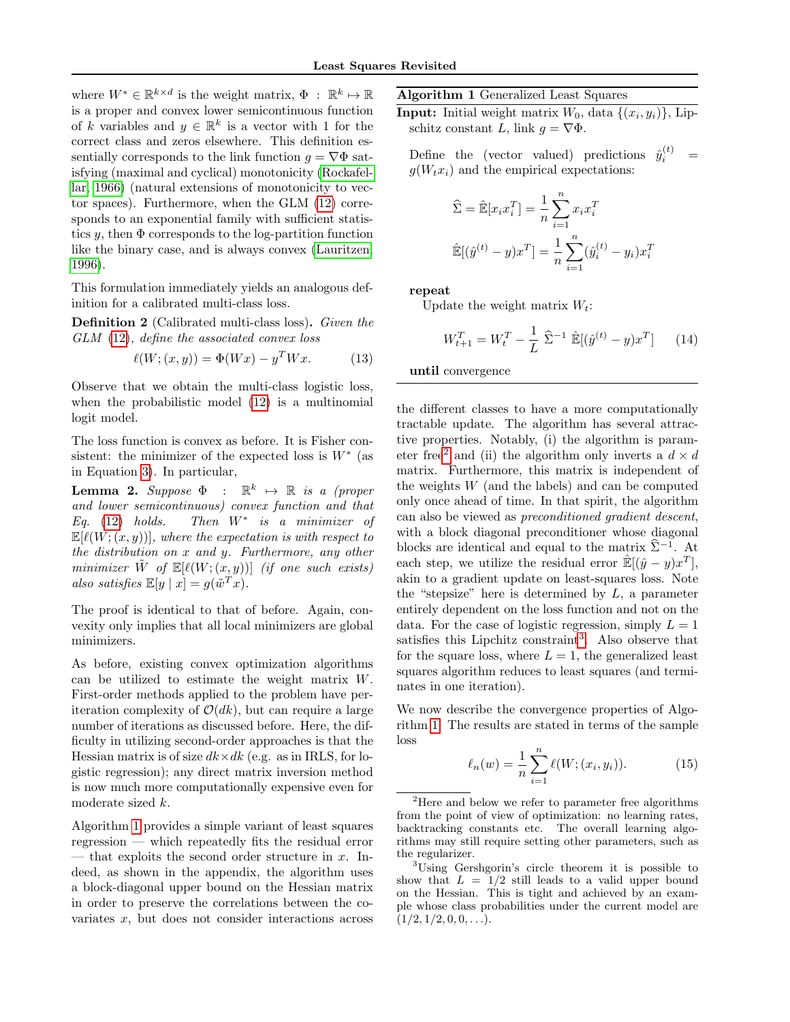where  $W^* \in \mathbb{R}^{k \times d}$  is the weight matrix,  $\Phi : \mathbb{R}^k \mapsto \mathbb{R}$ is a proper and convex lower semicontinuous function of k variables and  $y \in \mathbb{R}^k$  is a vector with 1 for the correct class and zeros elsewhere. This definition essentially corresponds to the link function  $g = \nabla \Phi$  satisfying (maximal and cyclical) monotonicity [\(Rockafel](#page-9-18)[lar, 1966\)](#page-9-18) (natural extensions of monotonicity to vector spaces). Furthermore, when the GLM [\(12\)](#page-2-2) corresponds to an exponential family with sufficient statistics y, then  $\Phi$  corresponds to the log-partition function like the binary case, and is always convex [\(Lauritzen,](#page-9-19) [1996\)](#page-9-19).

This formulation immediately yields an analogous definition for a calibrated multi-class loss.

Definition 2 (Calibrated multi-class loss). Given the GLM [\(12\)](#page-2-2), define the associated convex loss

$$
\ell(W; (x, y)) = \Phi(Wx) - y^T Wx.
$$
 (13)

Observe that we obtain the multi-class logistic loss, when the probabilistic model [\(12\)](#page-2-2) is a multinomial logit model.

The loss function is convex as before. It is Fisher consistent: the minimizer of the expected loss is  $W^*$  (as in Equation [3\)](#page-2-1). In particular,

**Lemma 2.** Suppose  $\Phi$  :  $\mathbb{R}^k \mapsto \mathbb{R}$  is a (proper and lower semicontinuous) convex function and that Eq.  $(12)$  holds. Then  $W^*$  is a minimizer of  $\mathbb{E}[\ell(W; (x, y))]$ , where the expectation is with respect to the distribution on  $x$  and  $y$ . Furthermore, any other minimizer  $\tilde{W}$  of  $\mathbb{E}[\ell(W; (x, y))]$  (if one such exists) also satisfies  $\mathbb{E}[y \mid x] = g(\tilde{w}^T x)$ .

The proof is identical to that of before. Again, convexity only implies that all local minimizers are global minimizers.

As before, existing convex optimization algorithms can be utilized to estimate the weight matrix W. First-order methods applied to the problem have periteration complexity of  $\mathcal{O}(dk)$ , but can require a large number of iterations as discussed before. Here, the difficulty in utilizing second-order approaches is that the Hessian matrix is of size  $dk \times dk$  (e.g. as in IRLS, for logistic regression); any direct matrix inversion method is now much more computationally expensive even for moderate sized k.

Algorithm [1](#page-3-0) provides a simple variant of least squares regression — which repeatedly fits the residual error — that exploits the second order structure in  $x$ . Indeed, as shown in the appendix, the algorithm uses a block-diagonal upper bound on the Hessian matrix in order to preserve the correlations between the covariates  $x$ , but does not consider interactions across <span id="page-3-0"></span>Algorithm 1 Generalized Least Squares

**Input:** Initial weight matrix  $W_0$ , data  $\{(x_i, y_i)\}\$ , Lipschitz constant L, link  $g = \nabla \Phi$ .

Define the (vector valued) predictions  $\hat{y}_i^{(t)}$  =  $q(W_tx_i)$  and the empirical expectations:

$$
\hat{\Sigma} = \hat{\mathbb{E}}[x_i x_i^T] = \frac{1}{n} \sum_{i=1}^n x_i x_i^T
$$

$$
\hat{\mathbb{E}}[(\hat{y}^{(t)} - y)x^T] = \frac{1}{n} \sum_{i=1}^n (\hat{y}_i^{(t)} - y_i) x_i^T
$$

repeat

Update the weight matrix  $W_t$ :

<span id="page-3-3"></span>
$$
W_{t+1}^T = W_t^T - \frac{1}{L} \hat{\Sigma}^{-1} \hat{\mathbb{E}}[(\hat{y}^{(t)} - y)x^T] \qquad (14)
$$

until convergence

the different classes to have a more computationally tractable update. The algorithm has several attractive properties. Notably, (i) the algorithm is param-eter free<sup>[2](#page-3-1)</sup> and (ii) the algorithm only inverts a  $d \times d$ matrix. Furthermore, this matrix is independent of the weights  $W$  (and the labels) and can be computed only once ahead of time. In that spirit, the algorithm can also be viewed as preconditioned gradient descent, with a block diagonal preconditioner whose diagonal blocks are identical and equal to the matrix  $\hat{\Sigma}^{-1}$ . At each step, we utilize the residual error  $\mathbb{E}[(\hat{y} - y)x^T]$ , akin to a gradient update on least-squares loss. Note the "stepsize" here is determined by  $L$ , a parameter entirely dependent on the loss function and not on the data. For the case of logistic regression, simply  $L = 1$ satisfies this Lipchitz constraint<sup>[3](#page-3-2)</sup>. Also observe that for the square loss, where  $L = 1$ , the generalized least squares algorithm reduces to least squares (and terminates in one iteration).

We now describe the convergence properties of Algorithm [1.](#page-3-0) The results are stated in terms of the sample loss

$$
\ell_n(w) = \frac{1}{n} \sum_{i=1}^n \ell(W; (x_i, y_i)).
$$
 (15)

<span id="page-3-1"></span> $2$ Here and below we refer to parameter free algorithms from the point of view of optimization: no learning rates, backtracking constants etc. The overall learning algorithms may still require setting other parameters, such as the regularizer.

<span id="page-3-2"></span><sup>3</sup>Using Gershgorin's circle theorem it is possible to show that  $L = 1/2$  still leads to a valid upper bound on the Hessian. This is tight and achieved by an example whose class probabilities under the current model are  $(1/2, 1/2, 0, 0, \ldots).$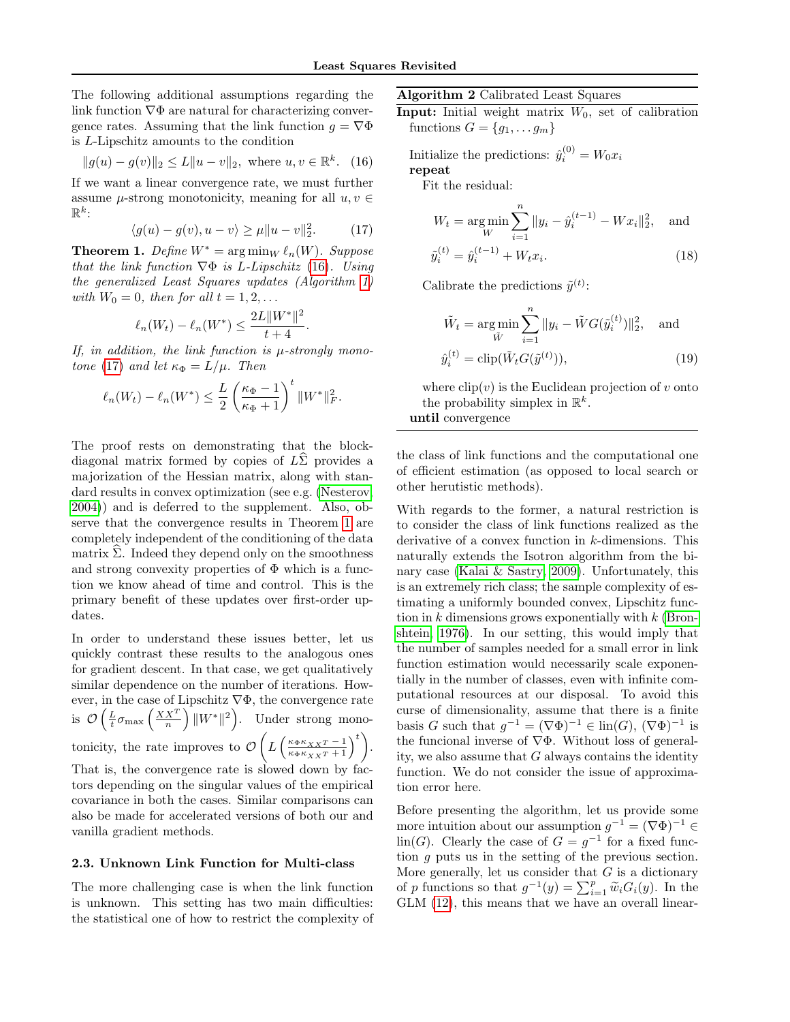The following additional assumptions regarding the link function  $\nabla \Phi$  are natural for characterizing convergence rates. Assuming that the link function  $g = \nabla \Phi$ is L-Lipschitz amounts to the condition

<span id="page-4-0"></span>
$$
||g(u) - g(v)||_2 \le L||u - v||_2
$$
, where  $u, v \in \mathbb{R}^k$ . (16)

If we want a linear convergence rate, we must further assume  $\mu$ -strong monotonicity, meaning for all  $u, v \in$  $\mathbb{R}^k$ :

<span id="page-4-1"></span>
$$
\langle g(u) - g(v), u - v \rangle \ge \mu \|u - v\|_2^2. \tag{17}
$$

<span id="page-4-2"></span>**Theorem 1.** Define  $W^* = \arg\min_W \ell_n(W)$ . Suppose that the link function  $\nabla \Phi$  is L-Lipschitz [\(16\)](#page-4-0). Using the generalized Least Squares updates (Algorithm [1\)](#page-3-0) with  $W_0 = 0$ , then for all  $t = 1, 2, \ldots$ 

$$
\ell_n(W_t) - \ell_n(W^*) \le \frac{2L||W^*||^2}{t+4}.
$$

If, in addition, the link function is  $\mu$ -strongly mono-tone [\(17\)](#page-4-1) and let  $\kappa_{\Phi} = L/\mu$ . Then

$$
\ell_n(W_t) - \ell_n(W^*) \le \frac{L}{2} \left(\frac{\kappa_{\Phi} - 1}{\kappa_{\Phi} + 1}\right)^t \|W^*\|_F^2.
$$

The proof rests on demonstrating that the blockdiagonal matrix formed by copies of  $L\Sigma$  provides a majorization of the Hessian matrix, along with standard results in convex optimization (see e.g. [\(Nesterov,](#page-9-20) [2004\)](#page-9-20)) and is deferred to the supplement. Also, observe that the convergence results in Theorem [1](#page-4-2) are completely independent of the conditioning of the data matrix  $\widehat{\Sigma}$ . Indeed they depend only on the smoothness and strong convexity properties of  $\Phi$  which is a function we know ahead of time and control. This is the primary benefit of these updates over first-order updates.

In order to understand these issues better, let us quickly contrast these results to the analogous ones for gradient descent. In that case, we get qualitatively similar dependence on the number of iterations. However, in the case of Lipschitz  $\nabla \Phi$ , the convergence rate is  $\mathcal{O}\left(\frac{L}{t}\sigma_{\max}\left(\frac{XX^T}{n}\right)||W^*||^2\right)$ . Under strong monotonicity, the rate improves to  $\mathcal{O}\left(L\left(\frac{\kappa_{\Phi}\kappa_{XX}T-1}{\kappa_{\Phi}\kappa_{XX}T+1}\right)^t\right)$ . That is, the convergence rate is slowed down by factors depending on the singular values of the empirical covariance in both the cases. Similar comparisons can also be made for accelerated versions of both our and vanilla gradient methods.

#### 2.3. Unknown Link Function for Multi-class

The more challenging case is when the link function is unknown. This setting has two main difficulties: the statistical one of how to restrict the complexity of <span id="page-4-3"></span>Algorithm 2 Calibrated Least Squares

**Input:** Initial weight matrix  $W_0$ , set of calibration functions  $G = \{g_1, \ldots g_m\}$ 

Initialize the predictions:  $\hat{y}_i^{(0)} = W_0 x_i$ repeat

Fit the residual:

$$
W_t = \underset{W}{\arg\min} \sum_{i=1}^{n} \|y_i - \hat{y}_i^{(t-1)} - Wx_i\|_2^2, \text{ and}
$$

$$
\tilde{y}_i^{(t)} = \hat{y}_i^{(t-1)} + W_t x_i.
$$
 (18)

Calibrate the predictions  $\tilde{y}^{(t)}$ :

<span id="page-4-5"></span><span id="page-4-4"></span>
$$
\tilde{W}_t = \underset{\tilde{W}}{\arg \min} \sum_{i=1}^n \|y_i - \tilde{W}G(\tilde{y}_i^{(t)})\|_2^2, \text{ and}
$$
  

$$
\hat{y}_i^{(t)} = \text{clip}(\tilde{W}_t G(\tilde{y}^{(t)})), \tag{19}
$$

where  $\text{clip}(v)$  is the Euclidean projection of v onto the probability simplex in  $\mathbb{R}^k$ . until convergence

the class of link functions and the computational one of efficient estimation (as opposed to local search or other herutistic methods).

With regards to the former, a natural restriction is to consider the class of link functions realized as the derivative of a convex function in k-dimensions. This naturally extends the Isotron algorithm from the binary case [\(Kalai & Sastry, 2009\)](#page-9-1). Unfortunately, this is an extremely rich class; the sample complexity of estimating a uniformly bounded convex, Lipschitz function in  $k$  dimensions grows exponentially with  $k$  [\(Bron](#page-9-21)[shtein, 1976\)](#page-9-21). In our setting, this would imply that the number of samples needed for a small error in link function estimation would necessarily scale exponentially in the number of classes, even with infinite computational resources at our disposal. To avoid this curse of dimensionality, assume that there is a finite basis G such that  $g^{-1} = (\nabla \Phi)^{-1} \in \text{lin}(G), (\nabla \Phi)^{-1}$  is the funcional inverse of  $\nabla \Phi$ . Without loss of generality, we also assume that  $G$  always contains the identity function. We do not consider the issue of approximation error here.

Before presenting the algorithm, let us provide some more intuition about our assumption  $g^{-1} = (\nabla \Phi)^{-1} \in$  $\lim(G)$ . Clearly the case of  $G = g^{-1}$  for a fixed function g puts us in the setting of the previous section. More generally, let us consider that  $G$  is a dictionary of p functions so that  $g^{-1}(y) = \sum_{i=1}^{p} \tilde{w}_i G_i(y)$ . In the CIM (12) this means that we have an except linear GLM [\(12\)](#page-2-2), this means that we have an overall linear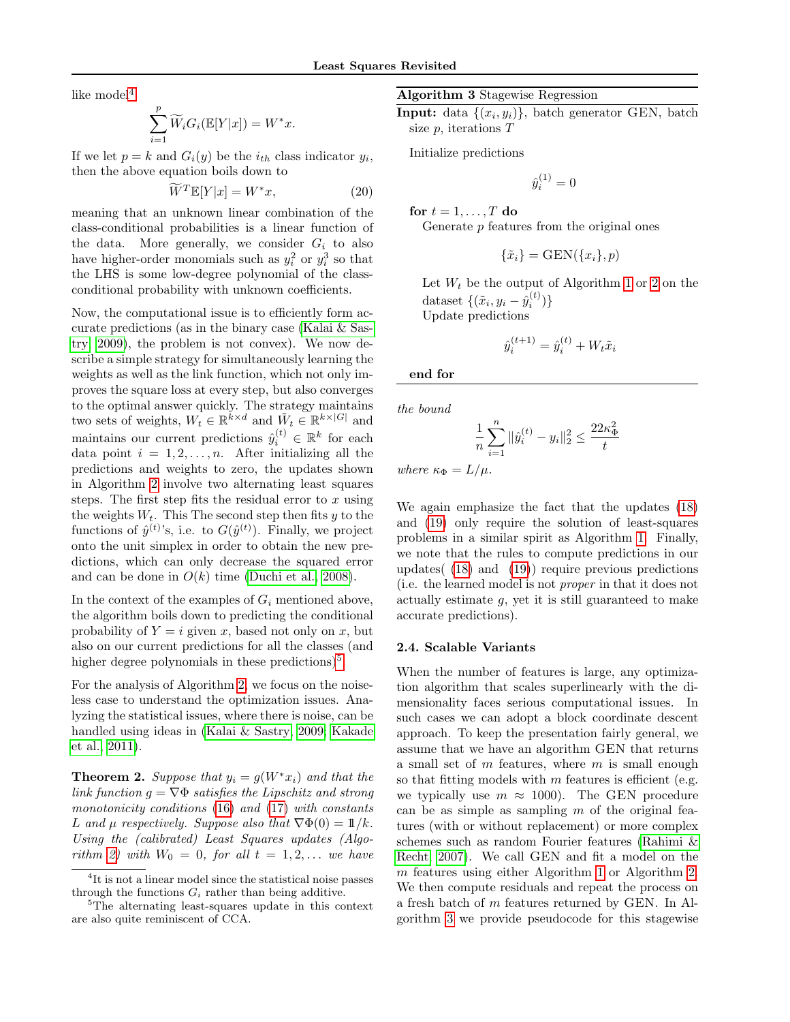like model $4$ 

$$
\sum_{i=1}^p \widetilde{W}_i G_i(\mathbb{E}[Y|x]) = W^*x.
$$

If we let  $p = k$  and  $G_i(y)$  be the  $i_{th}$  class indicator  $y_i$ , then the above equation boils down to

$$
\widetilde{W}^T \mathbb{E}[Y|x] = W^* x,\tag{20}
$$

meaning that an unknown linear combination of the class-conditional probabilities is a linear function of the data. More generally, we consider  $G_i$  to also have higher-order monomials such as  $y_i^2$  or  $y_i^3$  so that the LHS is some low-degree polynomial of the classconditional probability with unknown coefficients.

Now, the computational issue is to efficiently form accurate predictions (as in the binary case [\(Kalai & Sas](#page-9-1)[try, 2009\)](#page-9-1), the problem is not convex). We now describe a simple strategy for simultaneously learning the weights as well as the link function, which not only improves the square loss at every step, but also converges to the optimal answer quickly. The strategy maintains two sets of weights,  $W_t \in \mathbb{R}^{k \times d}$  and  $\tilde{W}_t \in \mathbb{R}^{k \times |G|}$  and maintains our current predictions  $\hat{y}_i^{(t)} \in \mathbb{R}^k$  for each data point  $i = 1, 2, \ldots, n$ . After initializing all the predictions and weights to zero, the updates shown in Algorithm [2](#page-4-3) involve two alternating least squares steps. The first step fits the residual error to  $x$  using the weights  $W_t$ . This The second step then fits y to the functions of  $\hat{y}^{(t)}$ 's, i.e. to  $G(\hat{y}^{(t)})$ . Finally, we project onto the unit simplex in order to obtain the new predictions, which can only decrease the squared error and can be done in  $O(k)$  time [\(Duchi et al., 2008\)](#page-9-22).

In the context of the examples of  $G_i$  mentioned above, the algorithm boils down to predicting the conditional probability of  $Y = i$  given x, based not only on x, but also on our current predictions for all the classes (and higher degree polynomials in these predictions)<sup>[5](#page-5-1)</sup>.

For the analysis of Algorithm [2,](#page-4-3) we focus on the noiseless case to understand the optimization issues. Analyzing the statistical issues, where there is noise, can be handled using ideas in [\(Kalai & Sastry, 2009;](#page-9-1) [Kakade](#page-9-2) [et al., 2011\)](#page-9-2).

<span id="page-5-3"></span>**Theorem 2.** Suppose that  $y_i = g(W^*x_i)$  and that the link function  $g = \nabla \Phi$  satisfies the Lipschitz and strong monotonicity conditions [\(16\)](#page-4-0) and [\(17\)](#page-4-1) with constants L and  $\mu$  respectively. Suppose also that  $\nabla \Phi(0) = 1/k$ . Using the (calibrated) Least Squares updates (Algo-rithm [2\)](#page-4-3) with  $W_0 = 0$ , for all  $t = 1, 2, \ldots$  we have

#### <span id="page-5-2"></span>Algorithm 3 Stagewise Regression

Input: data  $\{(x_i, y_i)\}\$ , batch generator GEN, batch size p, iterations T

Initialize predictions

$$
\hat{y}_i^{(1)} = 0
$$

for  $t = 1, \ldots, T$  do

Generate  $p$  features from the original ones

$$
\{\tilde{x}_i\} = \text{GEN}(\{x_i\}, p)
$$

Let  $W_t$  be the output of Algorithm [1](#page-3-0) or [2](#page-4-3) on the dataset  $\{(\tilde{x}_i, y_i - \hat{y}_i^{(t)})\}$ Update predictions

$$
\hat{y}_i^{(t+1)} = \hat{y}_i^{(t)} + W_t \tilde{x}_i
$$

end for

the bound

$$
\frac{1}{n}\sum_{i=1}^{n} \|\hat{y}_i^{(t)} - y_i\|_2^2 \le \frac{22\kappa_{\Phi}^2}{t}
$$

where  $\kappa_{\Phi} = L/\mu$ .

We again emphasize the fact that the updates [\(18\)](#page-4-4) and [\(19\)](#page-4-5) only require the solution of least-squares problems in a similar spirit as Algorithm [1.](#page-3-0) Finally, we note that the rules to compute predictions in our updates( [\(18\)](#page-4-4) and [\(19\)](#page-4-5)) require previous predictions (i.e. the learned model is not proper in that it does not actually estimate  $q$ , yet it is still guaranteed to make accurate predictions).

#### 2.4. Scalable Variants

When the number of features is large, any optimization algorithm that scales superlinearly with the dimensionality faces serious computational issues. In such cases we can adopt a block coordinate descent approach. To keep the presentation fairly general, we assume that we have an algorithm GEN that returns a small set of  $m$  features, where  $m$  is small enough so that fitting models with  $m$  features is efficient (e.g. we typically use  $m \approx 1000$ . The GEN procedure can be as simple as sampling  $m$  of the original features (with or without replacement) or more complex schemes such as random Fourier features [\(Rahimi &](#page-9-23) [Recht, 2007\)](#page-9-23). We call GEN and fit a model on the m features using either Algorithm [1](#page-3-0) or Algorithm [2.](#page-4-3) We then compute residuals and repeat the process on a fresh batch of m features returned by GEN. In Algorithm [3](#page-5-2) we provide pseudocode for this stagewise

<span id="page-5-0"></span><sup>&</sup>lt;sup>4</sup>It is not a linear model since the statistical noise passes through the functions  $G_i$  rather than being additive.

<span id="page-5-1"></span><sup>&</sup>lt;sup>5</sup>The alternating least-squares update in this context are also quite reminiscent of CCA.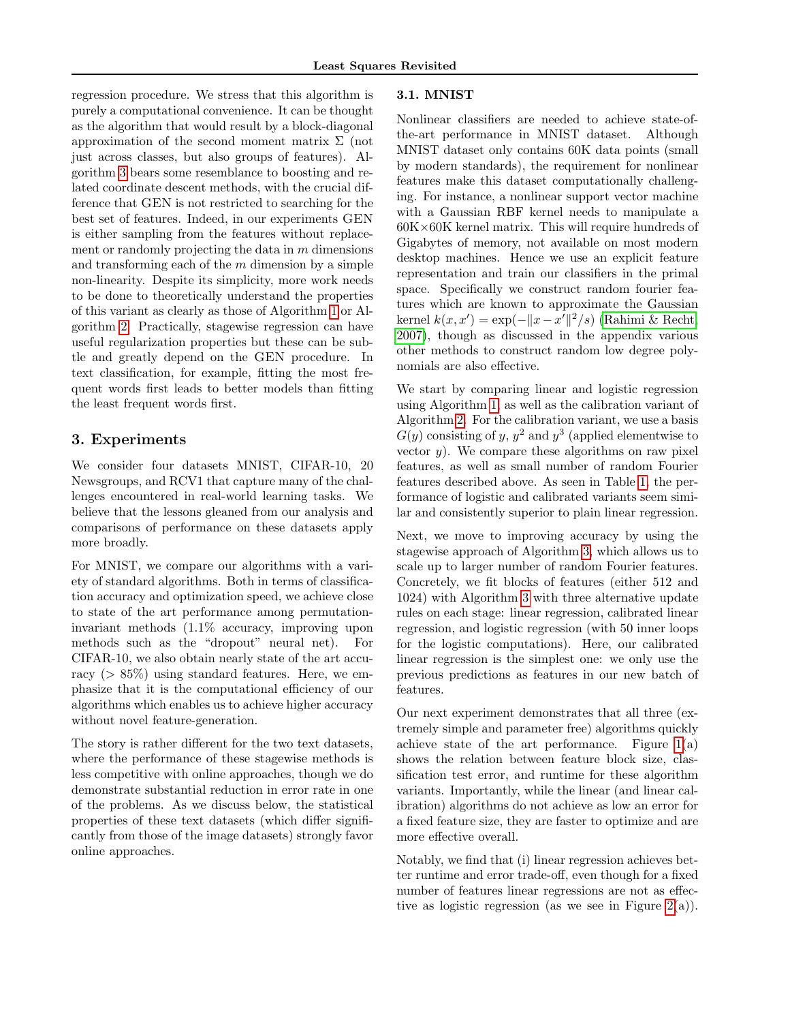regression procedure. We stress that this algorithm is purely a computational convenience. It can be thought as the algorithm that would result by a block-diagonal approximation of the second moment matrix  $\Sigma$  (not just across classes, but also groups of features). Algorithm [3](#page-5-2) bears some resemblance to boosting and related coordinate descent methods, with the crucial difference that GEN is not restricted to searching for the best set of features. Indeed, in our experiments GEN is either sampling from the features without replacement or randomly projecting the data in  $m$  dimensions and transforming each of the  $m$  dimension by a simple non-linearity. Despite its simplicity, more work needs to be done to theoretically understand the properties of this variant as clearly as those of Algorithm [1](#page-3-0) or Algorithm [2.](#page-4-3) Practically, stagewise regression can have useful regularization properties but these can be subtle and greatly depend on the GEN procedure. In text classification, for example, fitting the most frequent words first leads to better models than fitting the least frequent words first.

# 3. Experiments

We consider four datasets MNIST, CIFAR-10, 20 Newsgroups, and RCV1 that capture many of the challenges encountered in real-world learning tasks. We believe that the lessons gleaned from our analysis and comparisons of performance on these datasets apply more broadly.

For MNIST, we compare our algorithms with a variety of standard algorithms. Both in terms of classification accuracy and optimization speed, we achieve close to state of the art performance among permutationinvariant methods (1.1% accuracy, improving upon methods such as the "dropout" neural net). For CIFAR-10, we also obtain nearly state of the art accuracy ( $> 85\%$ ) using standard features. Here, we emphasize that it is the computational efficiency of our algorithms which enables us to achieve higher accuracy without novel feature-generation.

The story is rather different for the two text datasets, where the performance of these stagewise methods is less competitive with online approaches, though we do demonstrate substantial reduction in error rate in one of the problems. As we discuss below, the statistical properties of these text datasets (which differ significantly from those of the image datasets) strongly favor online approaches.

#### 3.1. MNIST

Nonlinear classifiers are needed to achieve state-ofthe-art performance in MNIST dataset. Although MNIST dataset only contains 60K data points (small by modern standards), the requirement for nonlinear features make this dataset computationally challenging. For instance, a nonlinear support vector machine with a Gaussian RBF kernel needs to manipulate a  $60K\times60K$  kernel matrix. This will require hundreds of Gigabytes of memory, not available on most modern desktop machines. Hence we use an explicit feature representation and train our classifiers in the primal space. Specifically we construct random fourier features which are known to approximate the Gaussian kernel  $k(x, x') = \exp(-\|x - x'\|^2/s)$  [\(Rahimi & Recht,](#page-9-23) [2007\)](#page-9-23), though as discussed in the appendix various other methods to construct random low degree polynomials are also effective.

We start by comparing linear and logistic regression using Algorithm [1,](#page-3-0) as well as the calibration variant of Algorithm [2.](#page-4-3) For the calibration variant, we use a basis  $G(y)$  consisting of y,  $y^2$  and  $y^3$  (applied elementwise to vector  $y$ ). We compare these algorithms on raw pixel features, as well as small number of random Fourier features described above. As seen in Table [1,](#page-7-0) the performance of logistic and calibrated variants seem similar and consistently superior to plain linear regression.

Next, we move to improving accuracy by using the stagewise approach of Algorithm [3,](#page-5-2) which allows us to scale up to larger number of random Fourier features. Concretely, we fit blocks of features (either 512 and 1024) with Algorithm [3](#page-5-2) with three alternative update rules on each stage: linear regression, calibrated linear regression, and logistic regression (with 50 inner loops for the logistic computations). Here, our calibrated linear regression is the simplest one: we only use the previous predictions as features in our new batch of features.

Our next experiment demonstrates that all three (extremely simple and parameter free) algorithms quickly achieve state of the art performance. Figure  $1(a)$ shows the relation between feature block size, classification test error, and runtime for these algorithm variants. Importantly, while the linear (and linear calibration) algorithms do not achieve as low an error for a fixed feature size, they are faster to optimize and are more effective overall.

Notably, we find that (i) linear regression achieves better runtime and error trade-off, even though for a fixed number of features linear regressions are not as effective as logistic regression (as we see in Figure  $2(a)$ ).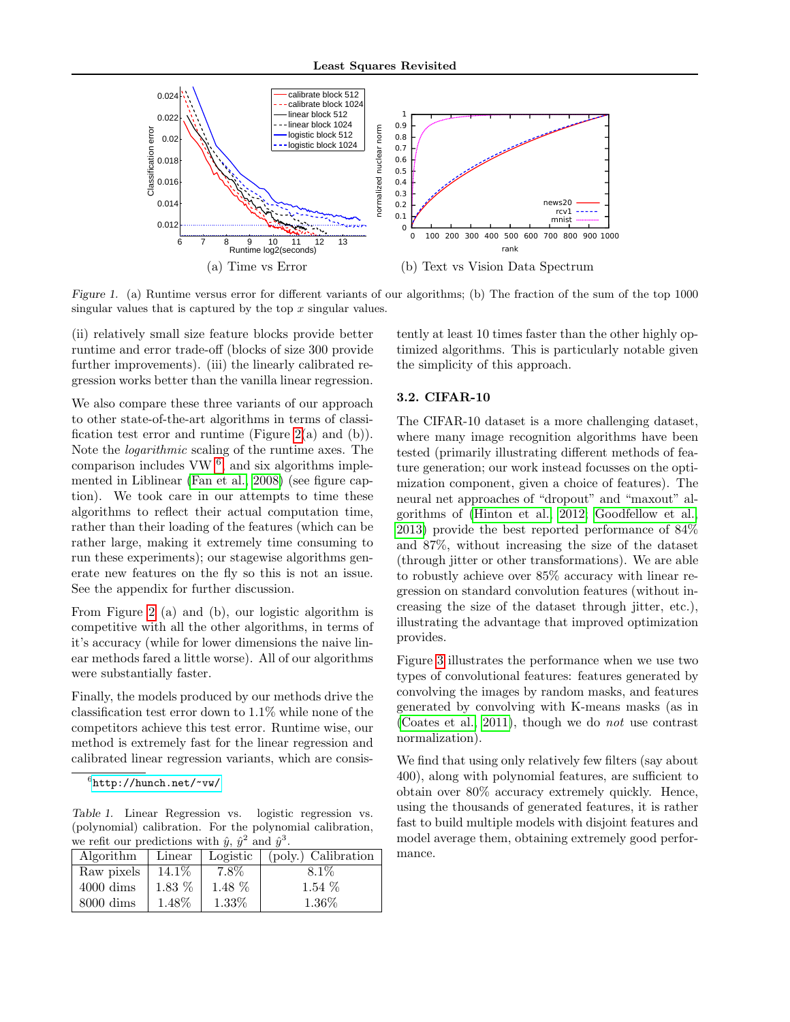

<span id="page-7-1"></span>Figure 1. (a) Runtime versus error for different variants of our algorithms; (b) The fraction of the sum of the top 1000 singular values that is captured by the top  $x$  singular values.

(ii) relatively small size feature blocks provide better runtime and error trade-off (blocks of size 300 provide further improvements). (iii) the linearly calibrated regression works better than the vanilla linear regression.

We also compare these three variants of our approach to other state-of-the-art algorithms in terms of classification test error and runtime (Figure  $2(a)$  and (b)). Note the logarithmic scaling of the runtime axes. The comparison includes  $VW<sup>6</sup>$  $VW<sup>6</sup>$  $VW<sup>6</sup>$ , and six algorithms implemented in Liblinear [\(Fan et al., 2008\)](#page-9-24) (see figure caption). We took care in our attempts to time these algorithms to reflect their actual computation time, rather than their loading of the features (which can be rather large, making it extremely time consuming to run these experiments); our stagewise algorithms generate new features on the fly so this is not an issue. See the appendix for further discussion.

From Figure [2](#page-8-0) (a) and (b), our logistic algorithm is competitive with all the other algorithms, in terms of it's accuracy (while for lower dimensions the naive linear methods fared a little worse). All of our algorithms were substantially faster.

Finally, the models produced by our methods drive the classification test error down to 1.1% while none of the competitors achieve this test error. Runtime wise, our method is extremely fast for the linear regression and calibrated linear regression variants, which are consis-

Table 1. Linear Regression vs. logistic regression vs. (polynomial) calibration. For the polynomial calibration, we refit our predictions with  $\hat{y}$ ,  $\hat{y}^2$  and  $\hat{y}^3$ .

| $\frac{1}{2}$ we refer that $\frac{1}{2}$ and $\frac{1}{2}$ and $\frac{1}{2}$ and $\frac{1}{2}$ and $\frac{1}{2}$ |          |          |                                      |  |  |  |  |
|-------------------------------------------------------------------------------------------------------------------|----------|----------|--------------------------------------|--|--|--|--|
| Algorithm                                                                                                         | Linear   |          | Logistic $\vert$ (poly.) Calibration |  |  |  |  |
| Raw pixels                                                                                                        | 14.1\%   | 7.8%     | $8.1\%$                              |  |  |  |  |
| $4000 \text{ dims}$                                                                                               | $1.83\%$ | $1.48\%$ | $1.54\%$                             |  |  |  |  |
| $8000 \text{ dims}$                                                                                               | 1.48%    | 1.33%    | 1.36%                                |  |  |  |  |

tently at least 10 times faster than the other highly optimized algorithms. This is particularly notable given the simplicity of this approach.

#### 3.2. CIFAR-10

The CIFAR-10 dataset is a more challenging dataset, where many image recognition algorithms have been tested (primarily illustrating different methods of feature generation; our work instead focusses on the optimization component, given a choice of features). The neural net approaches of "dropout" and "maxout" algorithms of [\(Hinton et al., 2012;](#page-9-5) [Goodfellow et al.,](#page-9-25) [2013\)](#page-9-25) provide the best reported performance of 84% and 87%, without increasing the size of the dataset (through jitter or other transformations). We are able to robustly achieve over 85% accuracy with linear regression on standard convolution features (without increasing the size of the dataset through jitter, etc.), illustrating the advantage that improved optimization provides.

Figure [3](#page-8-1) illustrates the performance when we use two types of convolutional features: features generated by convolving the images by random masks, and features generated by convolving with K-means masks (as in [\(Coates et al., 2011\)](#page-9-26), though we do not use contrast normalization).

We find that using only relatively few filters (say about 400), along with polynomial features, are sufficient to obtain over 80% accuracy extremely quickly. Hence, using the thousands of generated features, it is rather fast to build multiple models with disjoint features and model average them, obtaining extremely good performance.

<span id="page-7-2"></span><span id="page-7-0"></span> $^6$ <http://hunch.net/~vw/>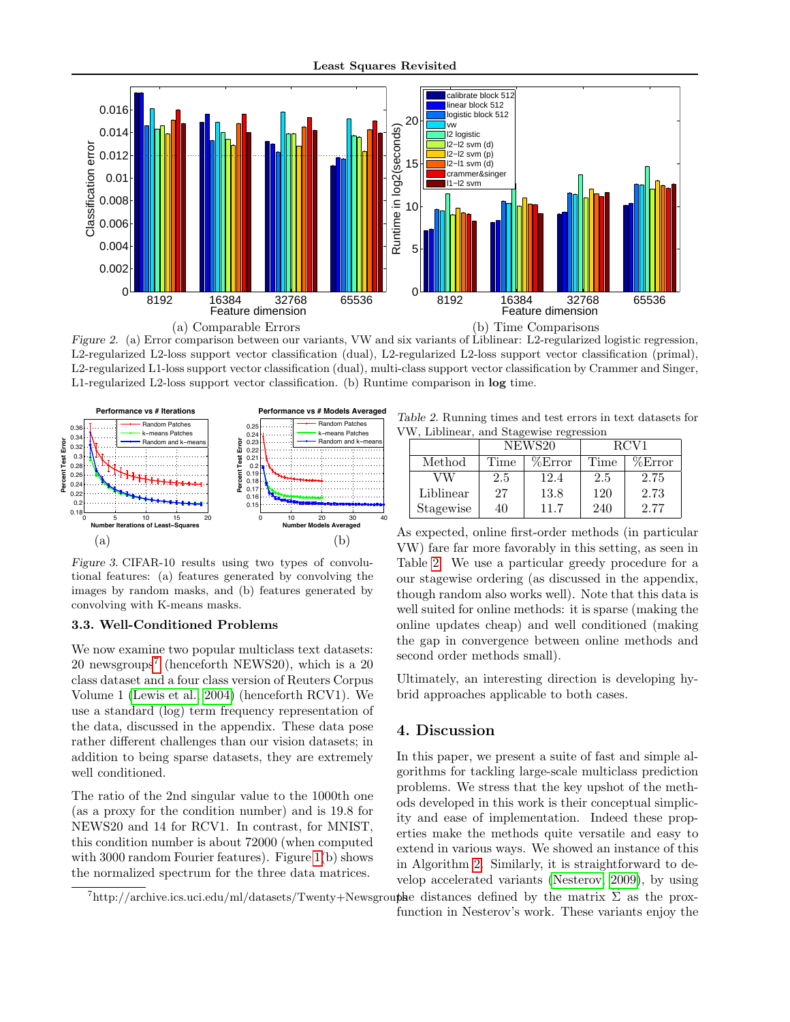

<span id="page-8-0"></span>Figure 2. (a) Error comparison between our variants, VW and six variants of Liblinear: L2-regularized logistic regression, L2-regularized L2-loss support vector classification (dual), L2-regularized L2-loss support vector classification (primal), L2-regularized L1-loss support vector classification (dual), multi-class support vector classification by Crammer and Singer, L1-regularized L2-loss support vector classification. (b) Runtime comparison in log time.



<span id="page-8-1"></span>Figure 3. CIFAR-10 results using two types of convolutional features: (a) features generated by convolving the images by random masks, and (b) features generated by convolving with K-means masks.

#### 3.3. Well-Conditioned Problems

We now examine two popular multiclass text datasets: 20 newsgroups[7](#page-8-2) (henceforth NEWS20), which is a 20 class dataset and a four class version of Reuters Corpus Volume 1 [\(Lewis et al., 2004\)](#page-9-27) (henceforth RCV1). We use a standard (log) term frequency representation of the data, discussed in the appendix. These data pose rather different challenges than our vision datasets; in addition to being sparse datasets, they are extremely well conditioned.

The ratio of the 2nd singular value to the 1000th one (as a proxy for the condition number) and is 19.8 for NEWS20 and 14 for RCV1. In contrast, for MNIST, this condition number is about 72000 (when computed with 3000 random Fourier features). Figure [1\(](#page-7-1)b) shows the normalized spectrum for the three data matrices.

Table 2. Running times and test errors in text datasets for VW, Liblinear, and Stagewise regression

<span id="page-8-3"></span>

| $\cdots$ $\cdots$ |           |        |        |                  |        |  |  |  |
|-------------------|-----------|--------|--------|------------------|--------|--|--|--|
|                   |           | NEWS20 |        | RCV <sub>1</sub> |        |  |  |  |
|                   | Method    | Time   | %Error | Time             | %Error |  |  |  |
|                   | VW        | 2.5    | 12.4   | 2.5              | 2.75   |  |  |  |
|                   | Liblinear | 27     | 13.8   | 120              | 2.73   |  |  |  |
|                   | Stagewise | 40     | 11.7   | 240              | 2.77   |  |  |  |

As expected, online first-order methods (in particular VW) fare far more favorably in this setting, as seen in Table [2.](#page-8-3) We use a particular greedy procedure for a our stagewise ordering (as discussed in the appendix, though random also works well). Note that this data is well suited for online methods: it is sparse (making the online updates cheap) and well conditioned (making the gap in convergence between online methods and second order methods small).

Ultimately, an interesting direction is developing hybrid approaches applicable to both cases.

# 4. Discussion

In this paper, we present a suite of fast and simple algorithms for tackling large-scale multiclass prediction problems. We stress that the key upshot of the methods developed in this work is their conceptual simplicity and ease of implementation. Indeed these properties make the methods quite versatile and easy to extend in various ways. We showed an instance of this in Algorithm [2.](#page-4-3) Similarly, it is straightforward to develop accelerated variants [\(Nesterov, 2009\)](#page-9-28), by using

function in Nesterov's work. These variants enjoy the

<span id="page-8-2"></span> $^{7}$ http://archive.ics.uci.edu/ml/datasets/Twenty+Newsgroupse distances defined by the matrix  $\Sigma$  as the prox-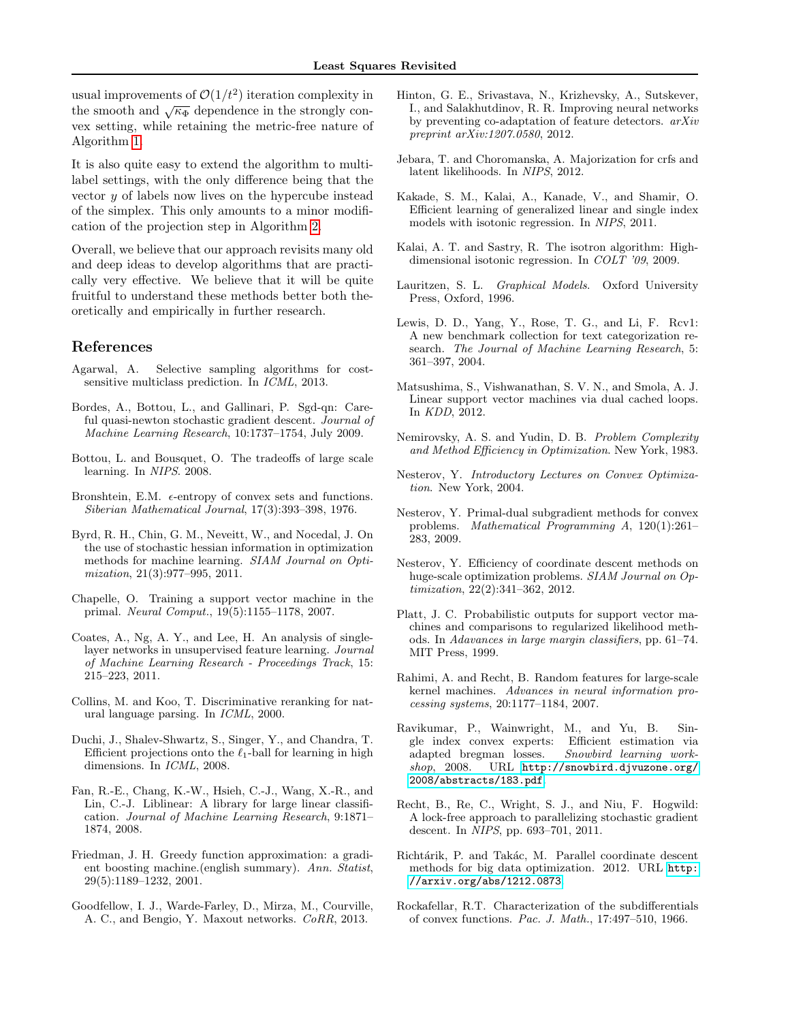usual improvements of  $\mathcal{O}(1/t^2)$  iteration complexity in the smooth and  $\sqrt{\kappa_{\Phi}}$  dependence in the strongly convex setting, while retaining the metric-free nature of Algorithm [1.](#page-3-0)

It is also quite easy to extend the algorithm to multilabel settings, with the only difference being that the vector  $y$  of labels now lives on the hypercube instead of the simplex. This only amounts to a minor modification of the projection step in Algorithm [2.](#page-4-3)

Overall, we believe that our approach revisits many old and deep ideas to develop algorithms that are practically very effective. We believe that it will be quite fruitful to understand these methods better both theoretically and empirically in further research.

# References

- <span id="page-9-17"></span>Agarwal, A. Selective sampling algorithms for costsensitive multiclass prediction. In ICML, 2013.
- <span id="page-9-8"></span>Bordes, A., Bottou, L., and Gallinari, P. Sgd-qn: Careful quasi-newton stochastic gradient descent. Journal of Machine Learning Research, 10:1737–1754, July 2009.
- <span id="page-9-6"></span>Bottou, L. and Bousquet, O. The tradeoffs of large scale learning. In NIPS. 2008.
- <span id="page-9-21"></span>Bronshtein, E.M.  $\epsilon$ -entropy of convex sets and functions. Siberian Mathematical Journal, 17(3):393–398, 1976.
- <span id="page-9-7"></span>Byrd, R. H., Chin, G. M., Neveitt, W., and Nocedal, J. On the use of stochastic hessian information in optimization methods for machine learning. SIAM Journal on Optimization, 21(3):977–995, 2011.
- <span id="page-9-12"></span>Chapelle, O. Training a support vector machine in the primal. Neural Comput., 19(5):1155–1178, 2007.
- <span id="page-9-26"></span>Coates, A., Ng, A. Y., and Lee, H. An analysis of singlelayer networks in unsupervised feature learning. Journal of Machine Learning Research - Proceedings Track, 15: 215–223, 2011.
- <span id="page-9-4"></span>Collins, M. and Koo, T. Discriminative reranking for natural language parsing. In ICML, 2000.
- <span id="page-9-22"></span>Duchi, J., Shalev-Shwartz, S., Singer, Y., and Chandra, T. Efficient projections onto the  $\ell_1$ -ball for learning in high dimensions. In ICML, 2008.
- <span id="page-9-24"></span>Fan, R.-E., Chang, K.-W., Hsieh, C.-J., Wang, X.-R., and Lin, C.-J. Liblinear: A library for large linear classification. Journal of Machine Learning Research, 9:1871– 1874, 2008.
- <span id="page-9-14"></span>Friedman, J. H. Greedy function approximation: a gradient boosting machine.(english summary). Ann. Statist, 29(5):1189–1232, 2001.
- <span id="page-9-25"></span>Goodfellow, I. J., Warde-Farley, D., Mirza, M., Courville, A. C., and Bengio, Y. Maxout networks. CoRR, 2013.
- <span id="page-9-5"></span>Hinton, G. E., Srivastava, N., Krizhevsky, A., Sutskever, I., and Salakhutdinov, R. R. Improving neural networks by preventing co-adaptation of feature detectors. arXiv preprint arXiv:1207.0580, 2012.
- <span id="page-9-15"></span>Jebara, T. and Choromanska, A. Majorization for crfs and latent likelihoods. In NIPS, 2012.
- <span id="page-9-2"></span>Kakade, S. M., Kalai, A., Kanade, V., and Shamir, O. Efficient learning of generalized linear and single index models with isotonic regression. In NIPS, 2011.
- <span id="page-9-1"></span>Kalai, A. T. and Sastry, R. The isotron algorithm: Highdimensional isotonic regression. In COLT '09, 2009.
- <span id="page-9-19"></span>Lauritzen, S. L. Graphical Models. Oxford University Press, Oxford, 1996.
- <span id="page-9-27"></span>Lewis, D. D., Yang, Y., Rose, T. G., and Li, F. Rcv1: A new benchmark collection for text categorization research. The Journal of Machine Learning Research, 5: 361–397, 2004.
- <span id="page-9-13"></span>Matsushima, S., Vishwanathan, S. V. N., and Smola, A. J. Linear support vector machines via dual cached loops. In KDD, 2012.
- <span id="page-9-0"></span>Nemirovsky, A. S. and Yudin, D. B. Problem Complexity and Method Efficiency in Optimization. New York, 1983.
- <span id="page-9-20"></span>Nesterov, Y. Introductory Lectures on Convex Optimization. New York, 2004.
- <span id="page-9-28"></span>Nesterov, Y. Primal-dual subgradient methods for convex problems. Mathematical Programming A, 120(1):261– 283, 2009.
- <span id="page-9-9"></span>Nesterov, Y. Efficiency of coordinate descent methods on huge-scale optimization problems. SIAM Journal on Optimization, 22(2):341–362, 2012.
- <span id="page-9-3"></span>Platt, J. C. Probabilistic outputs for support vector machines and comparisons to regularized likelihood methods. In Adavances in large margin classifiers, pp. 61–74. MIT Press, 1999.
- <span id="page-9-23"></span>Rahimi, A. and Recht, B. Random features for large-scale kernel machines. Advances in neural information processing systems, 20:1177–1184, 2007.
- <span id="page-9-16"></span>Ravikumar, P., Wainwright, M., and Yu, B. Single index convex experts: Efficient estimation via adapted bregman losses. Snowbird learning workshop, 2008. URL [http://snowbird.djvuzone.org/](http://snowbird.djvuzone.org/2008/abstracts/183.pdf) [2008/abstracts/183.pdf](http://snowbird.djvuzone.org/2008/abstracts/183.pdf).
- <span id="page-9-11"></span>Recht, B., Re, C., Wright, S. J., and Niu, F. Hogwild: A lock-free approach to parallelizing stochastic gradient descent. In NIPS, pp. 693–701, 2011.
- <span id="page-9-10"></span>Richtárik, P. and Takác, M. Parallel coordinate descent methods for big data optimization. 2012. URL [http:](http://arxiv.org/abs/1212.0873) [//arxiv.org/abs/1212.0873](http://arxiv.org/abs/1212.0873).
- <span id="page-9-18"></span>Rockafellar, R.T. Characterization of the subdifferentials of convex functions. Pac. J. Math., 17:497–510, 1966.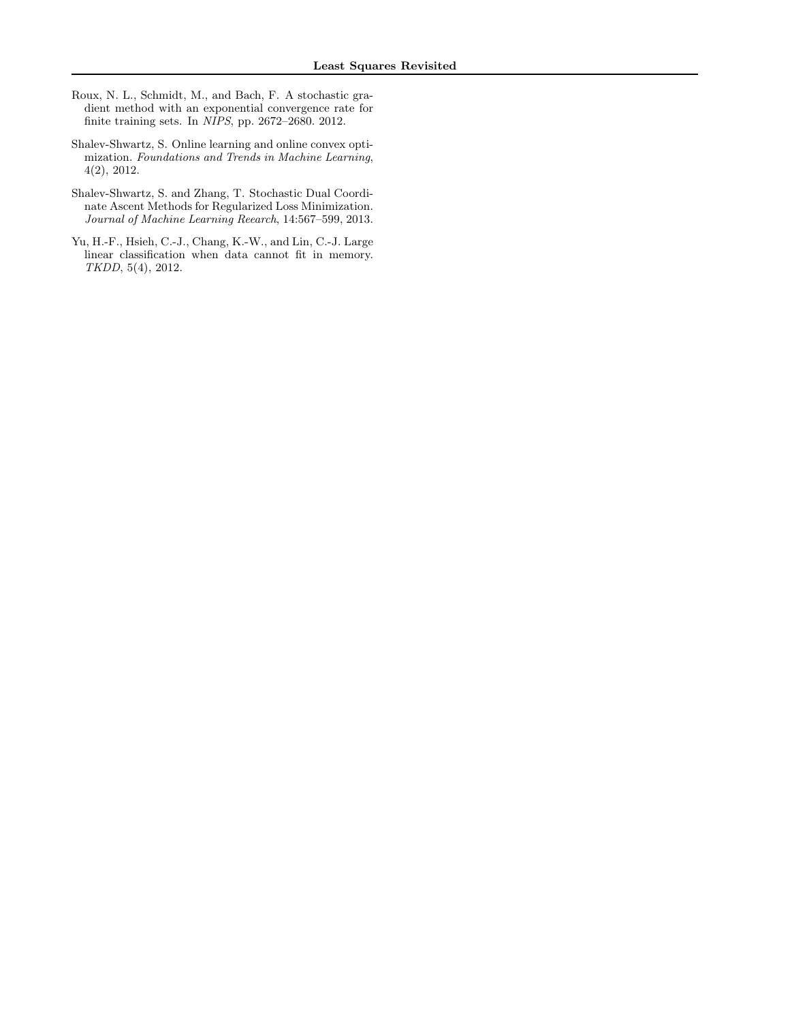- <span id="page-10-2"></span>Roux, N. L., Schmidt, M., and Bach, F. A stochastic gradient method with an exponential convergence rate for finite training sets. In NIPS, pp. 2672–2680. 2012.
- <span id="page-10-0"></span>Shalev-Shwartz, S. Online learning and online convex optimization. Foundations and Trends in Machine Learning, 4(2), 2012.
- <span id="page-10-1"></span>Shalev-Shwartz, S. and Zhang, T. Stochastic Dual Coordinate Ascent Methods for Regularized Loss Minimization. Journal of Machine Learning Reearch, 14:567–599, 2013.
- <span id="page-10-3"></span>Yu, H.-F., Hsieh, C.-J., Chang, K.-W., and Lin, C.-J. Large linear classification when data cannot fit in memory. TKDD, 5(4), 2012.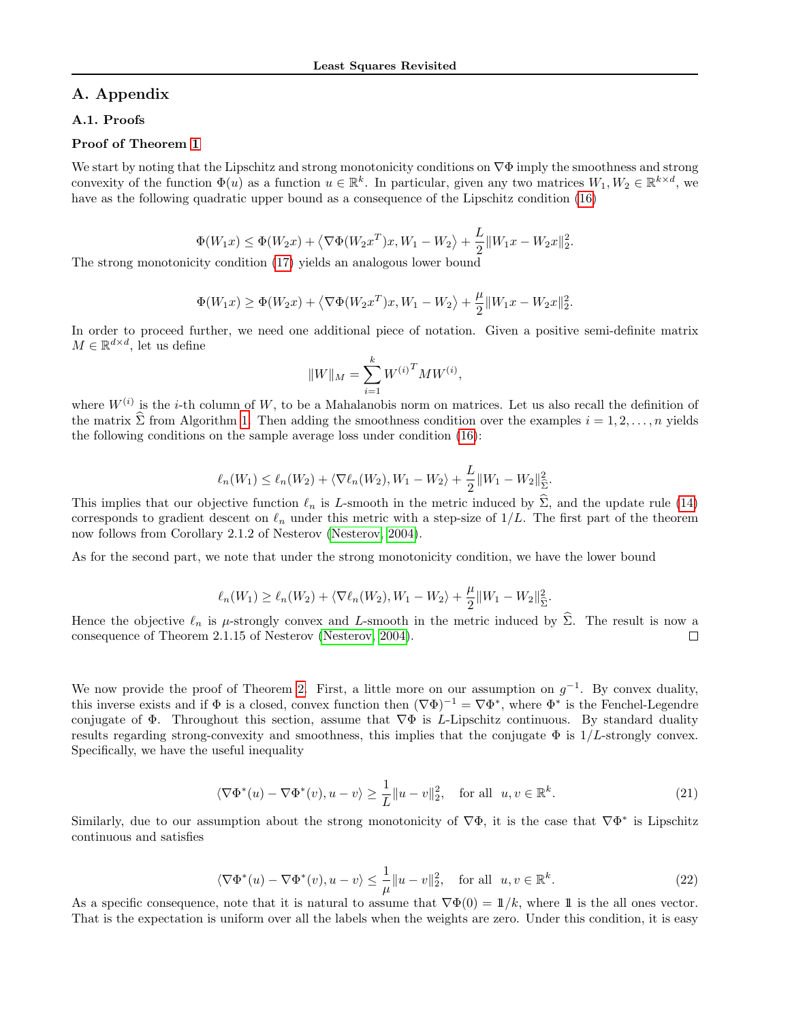# A. Appendix

# A.1. Proofs

#### Proof of Theorem [1](#page-4-2)

We start by noting that the Lipschitz and strong monotonicity conditions on  $\nabla\Phi$  imply the smoothness and strong convexity of the function  $\Phi(u)$  as a function  $u \in \mathbb{R}^k$ . In particular, given any two matrices  $W_1, W_2 \in \mathbb{R}^{k \times d}$ , we have as the following quadratic upper bound as a consequence of the Lipschitz condition [\(16\)](#page-4-0)

$$
\Phi(W_1x) \le \Phi(W_2x) + \langle \nabla \Phi(W_2x^T)x, W_1 - W_2 \rangle + \frac{L}{2} ||W_1x - W_2x||_2^2.
$$

The strong monotonicity condition [\(17\)](#page-4-1) yields an analogous lower bound

$$
\Phi(W_1x) \ge \Phi(W_2x) + \left\langle \nabla \Phi(W_2x^T)x, W_1 - W_2 \right\rangle + \frac{\mu}{2} \|W_1x - W_2x\|_2^2.
$$

In order to proceed further, we need one additional piece of notation. Given a positive semi-definite matrix  $M \in \mathbb{R}^{d \times d}$ , let us define

$$
||W||_{M} = \sum_{i=1}^{k} W^{(i)}^{T} M W^{(i)},
$$

where  $W^{(i)}$  is the *i*-th column of W, to be a Mahalanobis norm on matrices. Let us also recall the definition of the matrix  $\hat{\Sigma}$  from Algorithm [1.](#page-3-0) Then adding the smoothness condition over the examples  $i = 1, 2, \ldots, n$  yields the following conditions on the sample average loss under condition [\(16\)](#page-4-0):

$$
\ell_n(W_1) \le \ell_n(W_2) + \langle \nabla \ell_n(W_2), W_1 - W_2 \rangle + \frac{L}{2} ||W_1 - W_2||^2_{\widehat{\Sigma}}.
$$

This implies that our objective function  $\ell_n$  is L-smooth in the metric induced by  $\Sigma$ , and the update rule [\(14\)](#page-3-3) corresponds to gradient descent on  $\ell_n$  under this metric with a step-size of  $1/L$ . The first part of the theorem now follows from Corollary 2.1.2 of Nesterov [\(Nesterov, 2004\)](#page-9-20).

As for the second part, we note that under the strong monotonicity condition, we have the lower bound

$$
\ell_n(W_1) \ge \ell_n(W_2) + \langle \nabla \ell_n(W_2), W_1 - W_2 \rangle + \frac{\mu}{2} ||W_1 - W_2||^2_{\hat{\Sigma}}.
$$

Hence the objective  $\ell_n$  is  $\mu$ -strongly convex and L-smooth in the metric induced by  $\hat{\Sigma}$ . The result is now a consequence of Theorem 2.1.15 of Nesterov (Nesterov, 2004). consequence of Theorem 2.1.15 of Nesterov [\(Nesterov, 2004\)](#page-9-20).

We now provide the proof of Theorem [2.](#page-5-3) First, a little more on our assumption on  $g^{-1}$ . By convex duality, this inverse exists and if  $\Phi$  is a closed, convex function then  $(\nabla \Phi)^{-1} = \nabla \Phi^*$ , where  $\Phi^*$  is the Fenchel-Legendre conjugate of  $\Phi$ . Throughout this section, assume that  $\nabla \Phi$  is L-Lipschitz continuous. By standard duality results regarding strong-convexity and smoothness, this implies that the conjugate  $\Phi$  is  $1/L$ -strongly convex. Specifically, we have the useful inequality

<span id="page-11-1"></span>
$$
\langle \nabla \Phi^*(u) - \nabla \Phi^*(v), u - v \rangle \ge \frac{1}{L} \|u - v\|_2^2, \quad \text{for all} \ \ u, v \in \mathbb{R}^k. \tag{21}
$$

Similarly, due to our assumption about the strong monotonicity of  $\nabla \Phi$ , it is the case that  $\nabla \Phi^*$  is Lipschitz continuous and satisfies

<span id="page-11-0"></span>
$$
\langle \nabla \Phi^*(u) - \nabla \Phi^*(v), u - v \rangle \le \frac{1}{\mu} \|u - v\|_2^2, \quad \text{for all} \ \ u, v \in \mathbb{R}^k. \tag{22}
$$

As a specific consequence, note that it is natural to assume that  $\nabla \Phi(0) = \mathbb{1}/k$ , where 1 is the all ones vector. That is the expectation is uniform over all the labels when the weights are zero. Under this condition, it is easy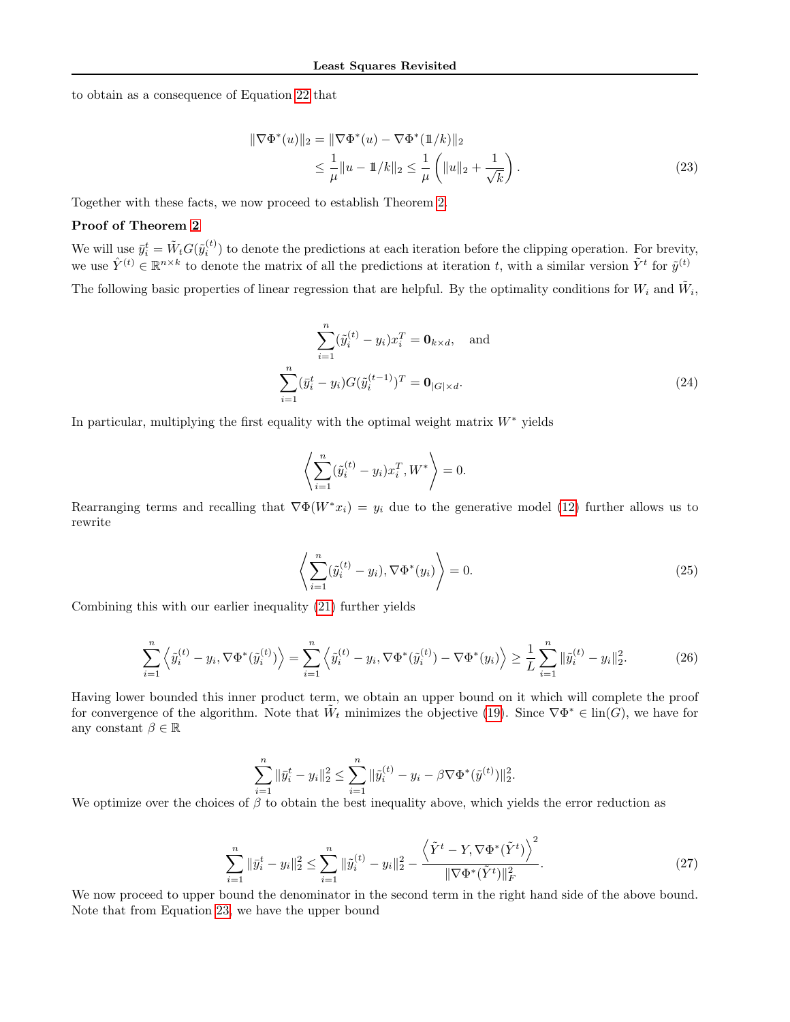to obtain as a consequence of Equation [22](#page-11-0) that

<span id="page-12-0"></span>
$$
\|\nabla\Phi^*(u)\|_2 = \|\nabla\Phi^*(u) - \nabla\Phi^*(1\!1/k)\|_2
$$
  
\n
$$
\leq \frac{1}{\mu} \|u - 1\!1/k\|_2 \leq \frac{1}{\mu} \left( \|u\|_2 + \frac{1}{\sqrt{k}} \right).
$$
\n(23)

Together with these facts, we now proceed to establish Theorem [2.](#page-5-3)

# Proof of Theorem [2](#page-5-3)

We will use  $\bar{y}_i^t = \tilde{W}_t G(\tilde{y}_i^{(t)})$  to denote the predictions at each iteration before the clipping operation. For brevity, we use  $\hat{Y}^{(t)} \in \mathbb{R}^{n \times k}$  to denote the matrix of all the predictions at iteration t, with a similar version  $\tilde{Y}^t$  for  $\tilde{y}^{(t)}$ 

The following basic properties of linear regression that are helpful. By the optimality conditions for 
$$
W_i
$$
 and  $\tilde{W}_i$ ,

$$
\sum_{i=1}^{n} (\tilde{y}_i^{(t)} - y_i) x_i^T = \mathbf{0}_{k \times d}, \text{ and}
$$

$$
\sum_{i=1}^{n} (\tilde{y}_i^t - y_i) G (\tilde{y}_i^{(t-1)})^T = \mathbf{0}_{|G| \times d}.
$$
 (24)

In particular, multiplying the first equality with the optimal weight matrix  $W^*$  yields

$$
\left\langle \sum_{i=1}^n (\tilde{y}_i^{(t)} - y_i) x_i^T, W^* \right\rangle = 0.
$$

Rearranging terms and recalling that  $\nabla \Phi(W^*x_i) = y_i$  due to the generative model [\(12\)](#page-2-2) further allows us to rewrite

<span id="page-12-2"></span>
$$
\left\langle \sum_{i=1}^{n} (\tilde{y}_i^{(t)} - y_i), \nabla \Phi^*(y_i) \right\rangle = 0.
$$
\n(25)

Combining this with our earlier inequality [\(21\)](#page-11-1) further yields

$$
\sum_{i=1}^{n} \left\langle \tilde{y}_{i}^{(t)} - y_{i}, \nabla \Phi^{*}(\tilde{y}_{i}^{(t)}) \right\rangle = \sum_{i=1}^{n} \left\langle \tilde{y}_{i}^{(t)} - y_{i}, \nabla \Phi^{*}(\tilde{y}_{i}^{(t)}) - \nabla \Phi^{*}(y_{i}) \right\rangle \ge \frac{1}{L} \sum_{i=1}^{n} \|\tilde{y}_{i}^{(t)} - y_{i}\|_{2}^{2}.
$$
 (26)

Having lower bounded this inner product term, we obtain an upper bound on it which will complete the proof for convergence of the algorithm. Note that  $\tilde{W}_t$  minimizes the objective [\(19\)](#page-4-5). Since  $\nabla \Phi^* \in \text{lin}(G)$ , we have for any constant  $\beta \in \mathbb{R}$ 

<span id="page-12-1"></span>
$$
\sum_{i=1}^{n} \|\bar{y}_i^t - y_i\|_2^2 \le \sum_{i=1}^{n} \|\tilde{y}_i^{(t)} - y_i - \beta \nabla \Phi^*(\tilde{y}^{(t)})\|_2^2.
$$

We optimize over the choices of  $\beta$  to obtain the best inequality above, which yields the error reduction as

$$
\sum_{i=1}^{n} \|\bar{y}_i^t - y_i\|_2^2 \le \sum_{i=1}^{n} \|\tilde{y}_i^{(t)} - y_i\|_2^2 - \frac{\left\langle \tilde{Y}^t - Y, \nabla \Phi^*(\tilde{Y}^t) \right\rangle^2}{\|\nabla \Phi^*(\tilde{Y}^t)\|_F^2}.
$$
\n(27)

We now proceed to upper bound the denominator in the second term in the right hand side of the above bound. Note that from Equation [23,](#page-12-0) we have the upper bound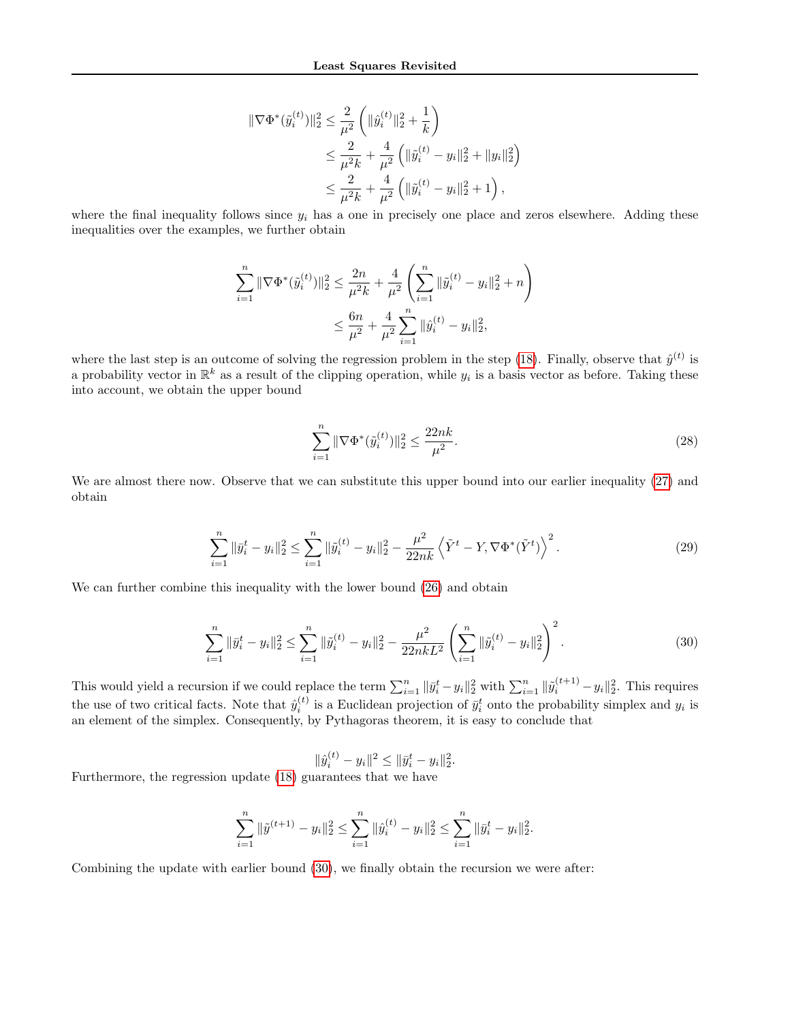$$
\|\nabla\Phi^*(\tilde{y}_i^{(t)})\|_2^2 \le \frac{2}{\mu^2} \left( \|\hat{y}_i^{(t)}\|_2^2 + \frac{1}{k} \right)
$$
  

$$
\le \frac{2}{\mu^2 k} + \frac{4}{\mu^2} \left( \|\tilde{y}_i^{(t)} - y_i\|_2^2 + \|y_i\|_2^2 \right)
$$
  

$$
\le \frac{2}{\mu^2 k} + \frac{4}{\mu^2} \left( \|\tilde{y}_i^{(t)} - y_i\|_2^2 + 1 \right),
$$

where the final inequality follows since  $y_i$  has a one in precisely one place and zeros elsewhere. Adding these inequalities over the examples, we further obtain

$$
\sum_{i=1}^{n} \|\nabla \Phi^*(\tilde{y}_i^{(t)})\|_2^2 \le \frac{2n}{\mu^2 k} + \frac{4}{\mu^2} \left( \sum_{i=1}^{n} \|\tilde{y}_i^{(t)} - y_i\|_2^2 + n \right) \le \frac{6n}{\mu^2} + \frac{4}{\mu^2} \sum_{i=1}^{n} \|\hat{y}_i^{(t)} - y_i\|_2^2,
$$

where the last step is an outcome of solving the regression problem in the step [\(18\)](#page-4-4). Finally, observe that  $\hat{y}^{(t)}$  is a probability vector in  $\mathbb{R}^k$  as a result of the clipping operation, while  $y_i$  is a basis vector as before. Taking these into account, we obtain the upper bound

$$
\sum_{i=1}^{n} \|\nabla \Phi^*(\tilde{y}_i^{(t)})\|_2^2 \le \frac{22nk}{\mu^2}.\tag{28}
$$

We are almost there now. Observe that we can substitute this upper bound into our earlier inequality [\(27\)](#page-12-1) and obtain

$$
\sum_{i=1}^{n} \|\bar{y}_i^t - y_i\|_2^2 \le \sum_{i=1}^{n} \|\tilde{y}_i^{(t)} - y_i\|_2^2 - \frac{\mu^2}{22nk} \left\langle \tilde{Y}^t - Y, \nabla \Phi^*(\tilde{Y}^t) \right\rangle^2.
$$
 (29)

We can further combine this inequality with the lower bound  $(26)$  and obtain

$$
\sum_{i=1}^{n} \|\bar{y}_i^t - y_i\|_2^2 \le \sum_{i=1}^{n} \|\tilde{y}_i^{(t)} - y_i\|_2^2 - \frac{\mu^2}{22nkL^2} \left(\sum_{i=1}^{n} \|\tilde{y}_i^{(t)} - y_i\|_2^2\right)^2.
$$
\n(30)

This would yield a recursion if we could replace the term  $\sum_{i=1}^{n} ||\bar{y}_i^t - y_i||_2^2$  with  $\sum_{i=1}^{n} ||\tilde{y}_i^{(t+1)} - y_i||_2^2$ . This requires the use of two critical facts. Note that  $\hat{y}_i^{(t)}$  is a Euclidean projection of  $\bar{y}_i^t$  onto the probability simplex and  $y_i$  is an element of the simplex. Consequently, by Pythagoras theorem, it is easy to conclude that

<span id="page-13-0"></span>
$$
\|\hat{y}_i^{(t)} - y_i\|^2 \le \|\bar{y}_i^t - y_i\|_2^2.
$$

Furthermore, the regression update [\(18\)](#page-4-4) guarantees that we have

$$
\sum_{i=1}^{n} \|\tilde{y}^{(t+1)} - y_i\|_2^2 \le \sum_{i=1}^{n} \|\hat{y}_i^{(t)} - y_i\|_2^2 \le \sum_{i=1}^{n} \|\bar{y}_i^t - y_i\|_2^2.
$$

Combining the update with earlier bound [\(30\)](#page-13-0), we finally obtain the recursion we were after: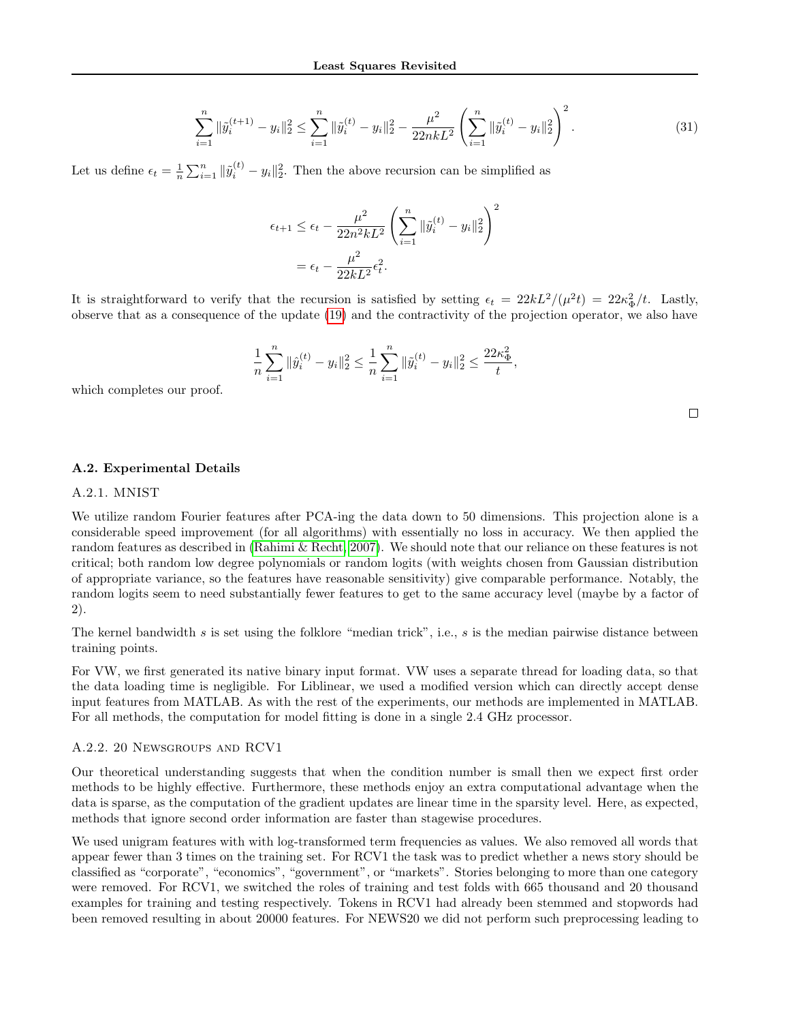$$
\sum_{i=1}^{n} \|\tilde{y}_i^{(t+1)} - y_i\|_2^2 \le \sum_{i=1}^{n} \|\tilde{y}_i^{(t)} - y_i\|_2^2 - \frac{\mu^2}{22nkL^2} \left(\sum_{i=1}^{n} \|\tilde{y}_i^{(t)} - y_i\|_2^2\right)^2.
$$
\n(31)

 $\Box$ 

Let us define  $\epsilon_t = \frac{1}{n} \sum_{i=1}^n ||\tilde{y}_i^{(t)} - y_i||_2^2$ . Then the above recursion can be simplified as

$$
\epsilon_{t+1} \le \epsilon_t - \frac{\mu^2}{22n^2kL^2} \left( \sum_{i=1}^n \|\tilde{y}_i^{(t)} - y_i\|_2^2 \right)^2
$$

$$
= \epsilon_t - \frac{\mu^2}{22kL^2} \epsilon_t^2.
$$

It is straightforward to verify that the recursion is satisfied by setting  $\epsilon_t = 22kL^2/(\mu^2 t) = 22\kappa_{\Phi}^2/t$ . Lastly, observe that as a consequence of the update [\(19\)](#page-4-5) and the contractivity of the projection operator, we also have

$$
\frac{1}{n}\sum_{i=1}^n \|\hat{y}_i^{(t)} - y_i\|_2^2 \le \frac{1}{n}\sum_{i=1}^n \|\tilde{y}_i^{(t)} - y_i\|_2^2 \le \frac{22\kappa_{\Phi}^2}{t},
$$

which completes our proof.

#### A.2. Experimental Details

#### A.2.1. MNIST

We utilize random Fourier features after PCA-ing the data down to 50 dimensions. This projection alone is a considerable speed improvement (for all algorithms) with essentially no loss in accuracy. We then applied the random features as described in [\(Rahimi & Recht, 2007\)](#page-9-23). We should note that our reliance on these features is not critical; both random low degree polynomials or random logits (with weights chosen from Gaussian distribution of appropriate variance, so the features have reasonable sensitivity) give comparable performance. Notably, the random logits seem to need substantially fewer features to get to the same accuracy level (maybe by a factor of 2).

The kernel bandwidth s is set using the folklore "median trick", i.e., s is the median pairwise distance between training points.

For VW, we first generated its native binary input format. VW uses a separate thread for loading data, so that the data loading time is negligible. For Liblinear, we used a modified version which can directly accept dense input features from MATLAB. As with the rest of the experiments, our methods are implemented in MATLAB. For all methods, the computation for model fitting is done in a single 2.4 GHz processor.

#### A.2.2. 20 Newsgroups and RCV1

Our theoretical understanding suggests that when the condition number is small then we expect first order methods to be highly effective. Furthermore, these methods enjoy an extra computational advantage when the data is sparse, as the computation of the gradient updates are linear time in the sparsity level. Here, as expected, methods that ignore second order information are faster than stagewise procedures.

We used unigram features with with log-transformed term frequencies as values. We also removed all words that appear fewer than 3 times on the training set. For RCV1 the task was to predict whether a news story should be classified as "corporate", "economics", "government", or "markets". Stories belonging to more than one category were removed. For RCV1, we switched the roles of training and test folds with 665 thousand and 20 thousand examples for training and testing respectively. Tokens in RCV1 had already been stemmed and stopwords had been removed resulting in about 20000 features. For NEWS20 we did not perform such preprocessing leading to